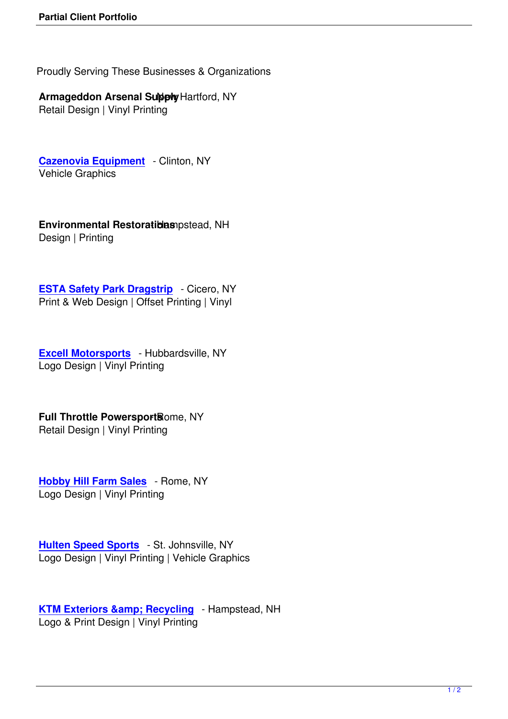Proudly Serving These Businesses & Organizations

## **Armageddon Arsenal Subply Hartford, NY**

Retail Design | Vinyl Printing

**Cazenovia Equipment** - Clinton, NY Vehicle Graphics

**Environmental Restoratiblas** opstead, NH Design | Printing

**ESTA Safety Park Dragstrip** - Cicero, NY Print & Web Design | Offset Printing | Vinyl

**Excell Motorsports** - Hubbardsville, NY Logo Design | Vinyl Printing

**Full Throttle PowersportBome, NY** Retail Design | Vinyl Printing

**Hobby Hill Farm Sales** - Rome, NY Logo Design | Vinyl Printing

**Hulten Speed Sports** - St. Johnsville, NY Logo Design | Vinyl Printing | Vehicle Graphics

**KTM Exteriors & amp; Recycling** - Hampstead, NH Logo & Print Design | Vinyl Printing